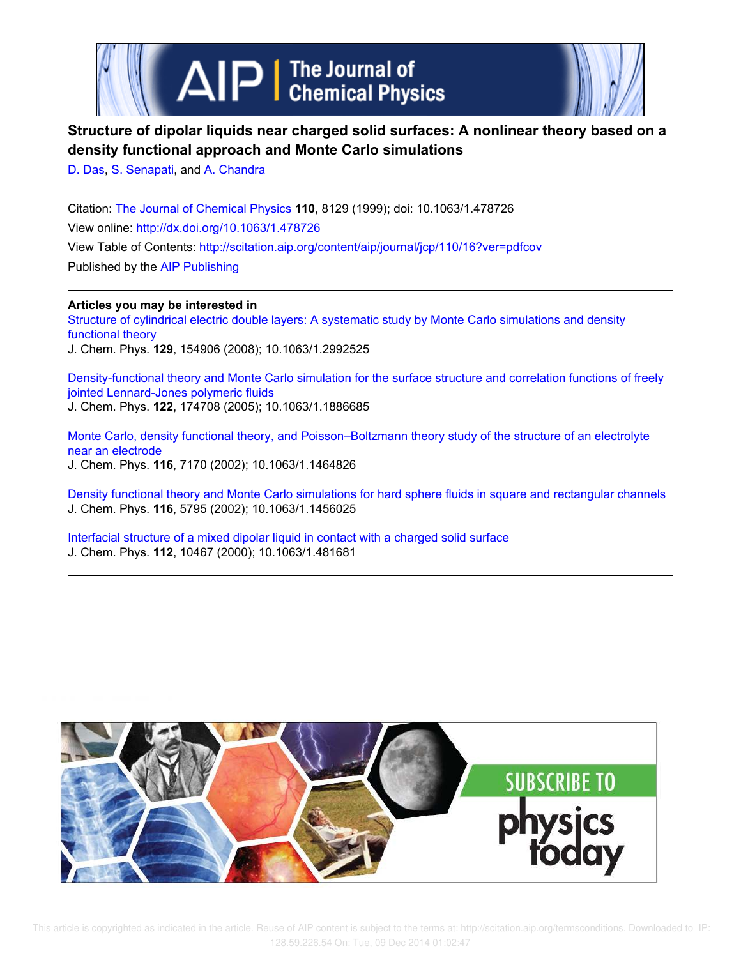

# **Structure of dipolar liquids near charged solid surfaces: A nonlinear theory based on a density functional approach and Monte Carlo simulations**

D. Das, S. Senapati, and A. Chandra

Citation: The Journal of Chemical Physics **110**, 8129 (1999); doi: 10.1063/1.478726 View online: http://dx.doi.org/10.1063/1.478726 View Table of Contents: http://scitation.aip.org/content/aip/journal/jcp/110/16?ver=pdfcov Published by the AIP Publishing

**Articles you may be interested in** Structure of cylindrical electric double layers: A systematic study by Monte Carlo simulations and density functional theory J. Chem. Phys. **129**, 154906 (2008); 10.1063/1.2992525

Density-functional theory and Monte Carlo simulation for the surface structure and correlation functions of freely jointed Lennard-Jones polymeric fluids J. Chem. Phys. **122**, 174708 (2005); 10.1063/1.1886685

Monte Carlo, density functional theory, and Poisson–Boltzmann theory study of the structure of an electrolyte near an electrode J. Chem. Phys. **116**, 7170 (2002); 10.1063/1.1464826

Density functional theory and Monte Carlo simulations for hard sphere fluids in square and rectangular channels J. Chem. Phys. **116**, 5795 (2002); 10.1063/1.1456025

Interfacial structure of a mixed dipolar liquid in contact with a charged solid surface J. Chem. Phys. **112**, 10467 (2000); 10.1063/1.481681

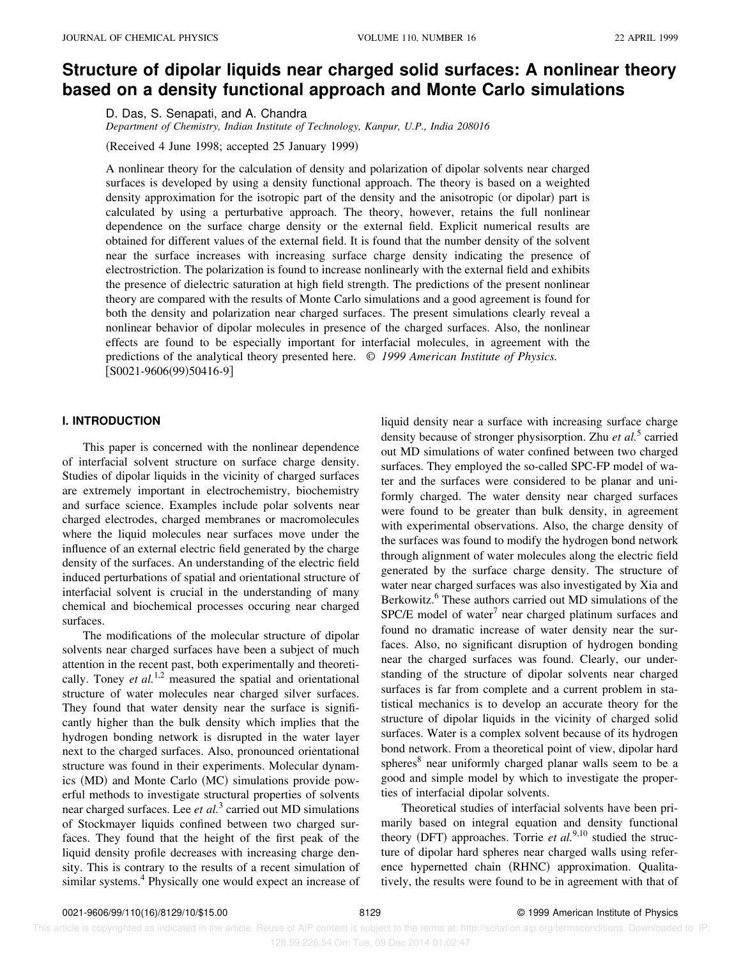## **Structure of dipolar liquids near charged solid surfaces: A nonlinear theory based on a density functional approach and Monte Carlo simulations**

D. Das, S. Senapati, and A. Chandra

*Department of Chemistry, Indian Institute of Technology, Kanpur, U.P., India 208016*

(Received 4 June 1998; accepted 25 January 1999)

A nonlinear theory for the calculation of density and polarization of dipolar solvents near charged surfaces is developed by using a density functional approach. The theory is based on a weighted density approximation for the isotropic part of the density and the anisotropic (or dipolar) part is calculated by using a perturbative approach. The theory, however, retains the full nonlinear dependence on the surface charge density or the external field. Explicit numerical results are obtained for different values of the external field. It is found that the number density of the solvent near the surface increases with increasing surface charge density indicating the presence of electrostriction. The polarization is found to increase nonlinearly with the external field and exhibits the presence of dielectric saturation at high field strength. The predictions of the present nonlinear theory are compared with the results of Monte Carlo simulations and a good agreement is found for both the density and polarization near charged surfaces. The present simulations clearly reveal a nonlinear behavior of dipolar molecules in presence of the charged surfaces. Also, the nonlinear effects are found to be especially important for interfacial molecules, in agreement with the predictions of the analytical theory presented here. © *1999 American Institute of Physics.*  $[$ S0021-9606(99)50416-9]

### **I. INTRODUCTION**

This paper is concerned with the nonlinear dependence of interfacial solvent structure on surface charge density. Studies of dipolar liquids in the vicinity of charged surfaces are extremely important in electrochemistry, biochemistry and surface science. Examples include polar solvents near charged electrodes, charged membranes or macromolecules where the liquid molecules near surfaces move under the influence of an external electric field generated by the charge density of the surfaces. An understanding of the electric field induced perturbations of spatial and orientational structure of interfacial solvent is crucial in the understanding of many chemical and biochemical processes occuring near charged surfaces.

The modifications of the molecular structure of dipolar solvents near charged surfaces have been a subject of much attention in the recent past, both experimentally and theoretically. Toney *et al.*<sup>1,2</sup> measured the spatial and orientational structure of water molecules near charged silver surfaces. They found that water density near the surface is significantly higher than the bulk density which implies that the hydrogen bonding network is disrupted in the water layer next to the charged surfaces. Also, pronounced orientational structure was found in their experiments. Molecular dynamics (MD) and Monte Carlo (MC) simulations provide powerful methods to investigate structural properties of solvents near charged surfaces. Lee *et al.*<sup>3</sup> carried out MD simulations of Stockmayer liquids confined between two charged surfaces. They found that the height of the first peak of the liquid density profile decreases with increasing charge density. This is contrary to the results of a recent simulation of similar systems.<sup>4</sup> Physically one would expect an increase of

liquid density near a surface with increasing surface charge density because of stronger physisorption. Zhu *et al.*<sup>5</sup> carried out MD simulations of water confined between two charged surfaces. They employed the so-called SPC-FP model of water and the surfaces were considered to be planar and uniformly charged. The water density near charged surfaces were found to be greater than bulk density, in agreement with experimental observations. Also, the charge density of the surfaces was found to modify the hydrogen bond network through alignment of water molecules along the electric field generated by the surface charge density. The structure of water near charged surfaces was also investigated by Xia and Berkowitz.<sup>6</sup> These authors carried out MD simulations of the  $SPC/E$  model of water<sup>7</sup> near charged platinum surfaces and found no dramatic increase of water density near the surfaces. Also, no significant disruption of hydrogen bonding near the charged surfaces was found. Clearly, our understanding of the structure of dipolar solvents near charged surfaces is far from complete and a current problem in statistical mechanics is to develop an accurate theory for the structure of dipolar liquids in the vicinity of charged solid surfaces. Water is a complex solvent because of its hydrogen bond network. From a theoretical point of view, dipolar hard spheres<sup>8</sup> near uniformly charged planar walls seem to be a good and simple model by which to investigate the properties of interfacial dipolar solvents.

Theoretical studies of interfacial solvents have been primarily based on integral equation and density functional theory (DFT) approaches. Torrie *et al.*<sup>9,10</sup> studied the structure of dipolar hard spheres near charged walls using reference hypernetted chain (RHNC) approximation. Qualitatively, the results were found to be in agreement with that of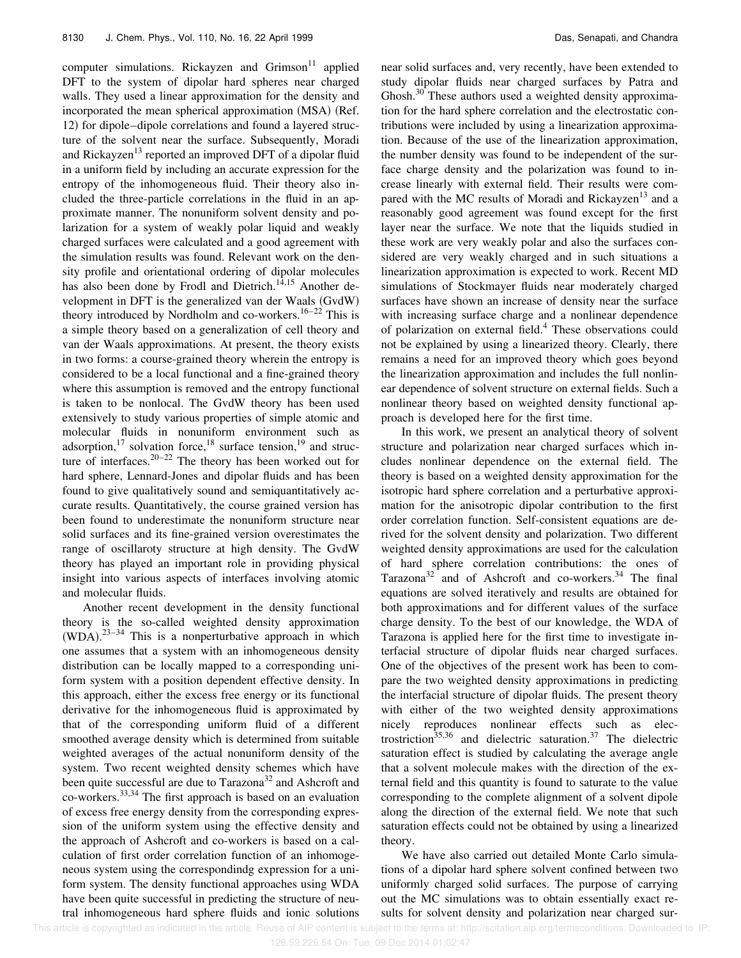computer simulations. Rickayzen and  $Grimson<sup>11</sup>$  applied DFT to the system of dipolar hard spheres near charged walls. They used a linear approximation for the density and incorporated the mean spherical approximation  $(MSA)$  (Ref. 12) for dipole–dipole correlations and found a layered structure of the solvent near the surface. Subsequently, Moradi and Rickayzen<sup>13</sup> reported an improved DFT of a dipolar fluid in a uniform field by including an accurate expression for the entropy of the inhomogeneous fluid. Their theory also included the three-particle correlations in the fluid in an approximate manner. The nonuniform solvent density and polarization for a system of weakly polar liquid and weakly charged surfaces were calculated and a good agreement with the simulation results was found. Relevant work on the density profile and orientational ordering of dipolar molecules has also been done by Frodl and Dietrich.<sup>14,15</sup> Another development in DFT is the generalized van der Waals (GvdW) theory introduced by Nordholm and co-workers.<sup>16-22</sup> This is a simple theory based on a generalization of cell theory and van der Waals approximations. At present, the theory exists in two forms: a course-grained theory wherein the entropy is considered to be a local functional and a fine-grained theory where this assumption is removed and the entropy functional is taken to be nonlocal. The GvdW theory has been used extensively to study various properties of simple atomic and molecular fluids in nonuniform environment such as adsorption, $17$  solvation force, $18$  surface tension, $19$  and structure of interfaces. $20-22$  The theory has been worked out for hard sphere, Lennard-Jones and dipolar fluids and has been found to give qualitatively sound and semiquantitatively accurate results. Quantitatively, the course grained version has been found to underestimate the nonuniform structure near solid surfaces and its fine-grained version overestimates the range of oscillaroty structure at high density. The GvdW theory has played an important role in providing physical insight into various aspects of interfaces involving atomic and molecular fluids.

Another recent development in the density functional theory is the so-called weighted density approximation  $(WDA).^{23-34}$  This is a nonperturbative approach in which one assumes that a system with an inhomogeneous density distribution can be locally mapped to a corresponding uniform system with a position dependent effective density. In this approach, either the excess free energy or its functional derivative for the inhomogeneous fluid is approximated by that of the corresponding uniform fluid of a different smoothed average density which is determined from suitable weighted averages of the actual nonuniform density of the system. Two recent weighted density schemes which have been quite successful are due to Tarazona<sup>32</sup> and Ashcroft and co-workers.33,34 The first approach is based on an evaluation of excess free energy density from the corresponding expression of the uniform system using the effective density and the approach of Ashcroft and co-workers is based on a calculation of first order correlation function of an inhomogeneous system using the correspondindg expression for a uniform system. The density functional approaches using WDA have been quite successful in predicting the structure of neutral inhomogeneous hard sphere fluids and ionic solutions near solid surfaces and, very recently, have been extended to study dipolar fluids near charged surfaces by Patra and Ghosh.<sup>30</sup> These authors used a weighted density approximation for the hard sphere correlation and the electrostatic contributions were included by using a linearization approximation. Because of the use of the linearization approximation, the number density was found to be independent of the surface charge density and the polarization was found to increase linearly with external field. Their results were compared with the MC results of Moradi and Rickayzen<sup>13</sup> and a reasonably good agreement was found except for the first layer near the surface. We note that the liquids studied in these work are very weakly polar and also the surfaces considered are very weakly charged and in such situations a linearization approximation is expected to work. Recent MD simulations of Stockmayer fluids near moderately charged surfaces have shown an increase of density near the surface with increasing surface charge and a nonlinear dependence of polarization on external field.<sup>4</sup> These observations could not be explained by using a linearized theory. Clearly, there remains a need for an improved theory which goes beyond the linearization approximation and includes the full nonlinear dependence of solvent structure on external fields. Such a nonlinear theory based on weighted density functional approach is developed here for the first time.

In this work, we present an analytical theory of solvent structure and polarization near charged surfaces which includes nonlinear dependence on the external field. The theory is based on a weighted density approximation for the isotropic hard sphere correlation and a perturbative approximation for the anisotropic dipolar contribution to the first order correlation function. Self-consistent equations are derived for the solvent density and polarization. Two different weighted density approximations are used for the calculation of hard sphere correlation contributions: the ones of Tarazona<sup>32</sup> and of Ashcroft and co-workers.<sup>34</sup> The final equations are solved iteratively and results are obtained for both approximations and for different values of the surface charge density. To the best of our knowledge, the WDA of Tarazona is applied here for the first time to investigate interfacial structure of dipolar fluids near charged surfaces. One of the objectives of the present work has been to compare the two weighted density approximations in predicting the interfacial structure of dipolar fluids. The present theory with either of the two weighted density approximations nicely reproduces nonlinear effects such as electrostriction<sup>35,36</sup> and dielectric saturation.<sup>37</sup> The dielectric saturation effect is studied by calculating the average angle that a solvent molecule makes with the direction of the external field and this quantity is found to saturate to the value corresponding to the complete alignment of a solvent dipole along the direction of the external field. We note that such saturation effects could not be obtained by using a linearized theory.

We have also carried out detailed Monte Carlo simulations of a dipolar hard sphere solvent confined between two uniformly charged solid surfaces. The purpose of carrying out the MC simulations was to obtain essentially exact results for solvent density and polarization near charged sur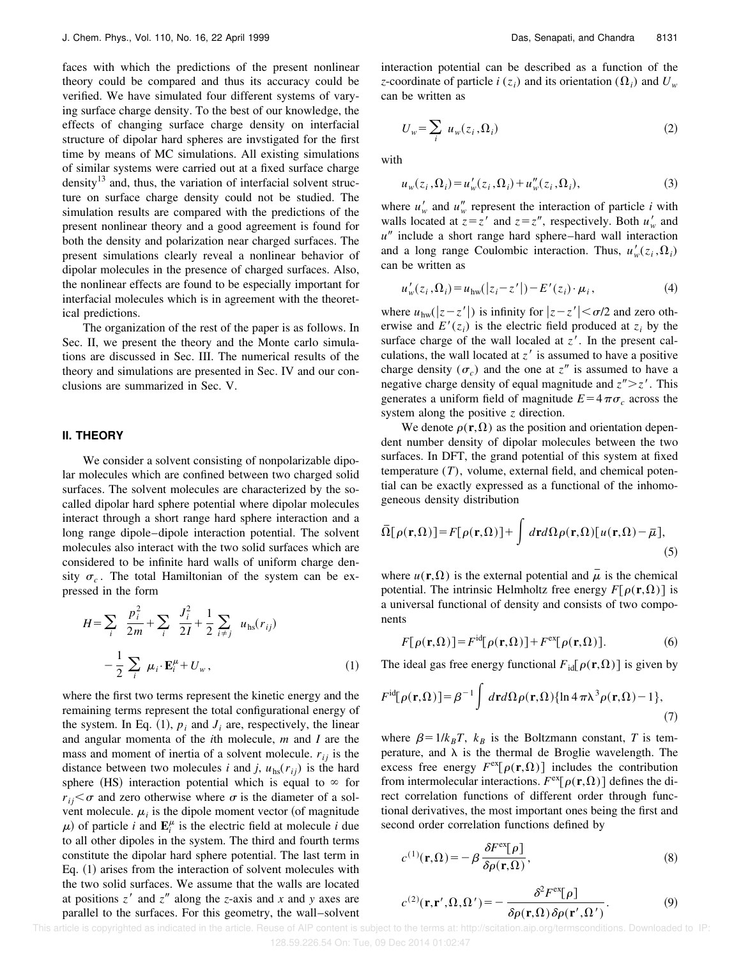faces with which the predictions of the present nonlinear theory could be compared and thus its accuracy could be verified. We have simulated four different systems of varying surface charge density. To the best of our knowledge, the effects of changing surface charge density on interfacial structure of dipolar hard spheres are invstigated for the first time by means of MC simulations. All existing simulations of similar systems were carried out at a fixed surface charge density $^{13}$  and, thus, the variation of interfacial solvent structure on surface charge density could not be studied. The simulation results are compared with the predictions of the present nonlinear theory and a good agreement is found for both the density and polarization near charged surfaces. The present simulations clearly reveal a nonlinear behavior of dipolar molecules in the presence of charged surfaces. Also, the nonlinear effects are found to be especially important for interfacial molecules which is in agreement with the theoretical predictions.

The organization of the rest of the paper is as follows. In Sec. II, we present the theory and the Monte carlo simulations are discussed in Sec. III. The numerical results of the theory and simulations are presented in Sec. IV and our conclusions are summarized in Sec. V.

### **II. THEORY**

We consider a solvent consisting of nonpolarizable dipolar molecules which are confined between two charged solid surfaces. The solvent molecules are characterized by the socalled dipolar hard sphere potential where dipolar molecules interact through a short range hard sphere interaction and a long range dipole–dipole interaction potential. The solvent molecules also interact with the two solid surfaces which are considered to be infinite hard walls of uniform charge density  $\sigma_c$ . The total Hamiltonian of the system can be expressed in the form

$$
H = \sum_{i} \frac{p_i^2}{2m} + \sum_{i} \frac{J_i^2}{2I} + \frac{1}{2} \sum_{i \neq j} u_{\text{hs}}(r_{ij}) - \frac{1}{2} \sum_{i} \mu_i \cdot \mathbf{E}_{i}^{\mu} + U_{w},
$$
 (1)

where the first two terms represent the kinetic energy and the remaining terms represent the total configurational energy of the system. In Eq.  $(1)$ ,  $p_i$  and  $J_i$  are, respectively, the linear and angular momenta of the *i*th molecule, *m* and *I* are the mass and moment of inertia of a solvent molecule.  $r_{ij}$  is the distance between two molecules *i* and *j*,  $u_{\text{hs}}(r_{ij})$  is the hard sphere (HS) interaction potential which is equal to  $\infty$  for  $r_{ij}$   $\leq \sigma$  and zero otherwise where  $\sigma$  is the diameter of a solvent molecule.  $\mu_i$  is the dipole moment vector (of magnitude  $\mu$ ) of particle *i* and  $\mathbf{E}_i^{\mu}$  is the electric field at molecule *i* due to all other dipoles in the system. The third and fourth terms constitute the dipolar hard sphere potential. The last term in Eq.  $(1)$  arises from the interaction of solvent molecules with the two solid surfaces. We assume that the walls are located at positions  $z'$  and  $z''$  along the *z*-axis and *x* and *y* axes are parallel to the surfaces. For this geometry, the wall–solvent interaction potential can be described as a function of the *z*-coordinate of particle *i* ( $z_i$ ) and its orientation ( $\Omega_i$ ) and  $U_w$ can be written as

$$
U_w = \sum_i u_w(z_i, \Omega_i) \tag{2}
$$

with

$$
u_w(z_i, \Omega_i) = u'_w(z_i, \Omega_i) + u''_w(z_i, \Omega_i),
$$
\n(3)

where  $u'_w$  and  $u''_w$  represent the interaction of particle *i* with walls located at  $z = z'$  and  $z = z''$ , respectively. Both  $u'_w$  and  $u''$  include a short range hard sphere–hard wall interaction and a long range Coulombic interaction. Thus,  $u'_{w}(z_i, \Omega_i)$ can be written as

$$
u'_{w}(z_{i},\Omega_{i})=u_{hw}(\left|z_{i}-z'\right|)-E'(z_{i})\cdot\mu_{i}, \qquad (4)
$$

where  $u_{hw}(|z-z'|)$  is infinity for  $|z-z'|<\sigma/2$  and zero otherwise and  $E'(z_i)$  is the electric field produced at  $z_i$  by the surface charge of the wall localed at  $z'$ . In the present calculations, the wall located at  $z<sup>'</sup>$  is assumed to have a positive charge density  $(\sigma_c)$  and the one at  $z''$  is assumed to have a negative charge density of equal magnitude and  $z'' > z'$ . This generates a uniform field of magnitude  $E=4\pi\sigma_c$  across the system along the positive *z* direction.

We denote  $\rho(\mathbf{r},\Omega)$  as the position and orientation dependent number density of dipolar molecules between the two surfaces. In DFT, the grand potential of this system at fixed temperature (*T*), volume, external field, and chemical potential can be exactly expressed as a functional of the inhomogeneous density distribution

$$
\bar{\Omega}[\rho(\mathbf{r},\Omega)] = F[\rho(\mathbf{r},\Omega)] + \int d\mathbf{r}d\Omega \rho(\mathbf{r},\Omega)[u(\mathbf{r},\Omega) - \bar{\mu}],
$$
\n(5)

where  $u(\mathbf{r},\Omega)$  is the external potential and  $\overline{\mu}$  is the chemical potential. The intrinsic Helmholtz free energy  $F[\rho(\mathbf{r},\Omega)]$  is a universal functional of density and consists of two components

$$
F[\rho(\mathbf{r},\Omega)] = F^{\text{id}}[\rho(\mathbf{r},\Omega)] + F^{\text{ex}}[\rho(\mathbf{r},\Omega)].
$$
 (6)

The ideal gas free energy functional  $F_{\text{id}}[\rho(\mathbf{r},\Omega)]$  is given by

$$
F^{\text{id}}[\rho(\mathbf{r},\Omega)]=\beta^{-1}\int d\mathbf{r}d\Omega\rho(\mathbf{r},\Omega)\{\ln 4\pi\lambda^3\rho(\mathbf{r},\Omega)-1\},\tag{7}
$$

where  $\beta = 1/k_B T$ ,  $k_B$  is the Boltzmann constant, *T* is temperature, and  $\lambda$  is the thermal de Broglie wavelength. The excess free energy  $F^{\text{ex}}[\rho(\mathbf{r},\Omega)]$  includes the contribution from intermolecular interactions.  $F^{\text{ex}}[\rho(\mathbf{r},\Omega)]$  defines the direct correlation functions of different order through functional derivatives, the most important ones being the first and second order correlation functions defined by

$$
c^{(1)}(\mathbf{r}, \Omega) = -\beta \frac{\delta F^{\text{ex}}[\rho]}{\delta \rho(\mathbf{r}, \Omega)},
$$
\n(8)

$$
c^{(2)}(\mathbf{r}, \mathbf{r}', \Omega, \Omega') = -\frac{\delta^2 F^{\text{ex}}[\rho]}{\delta \rho(\mathbf{r}, \Omega) \delta \rho(\mathbf{r}', \Omega')}.
$$
(9)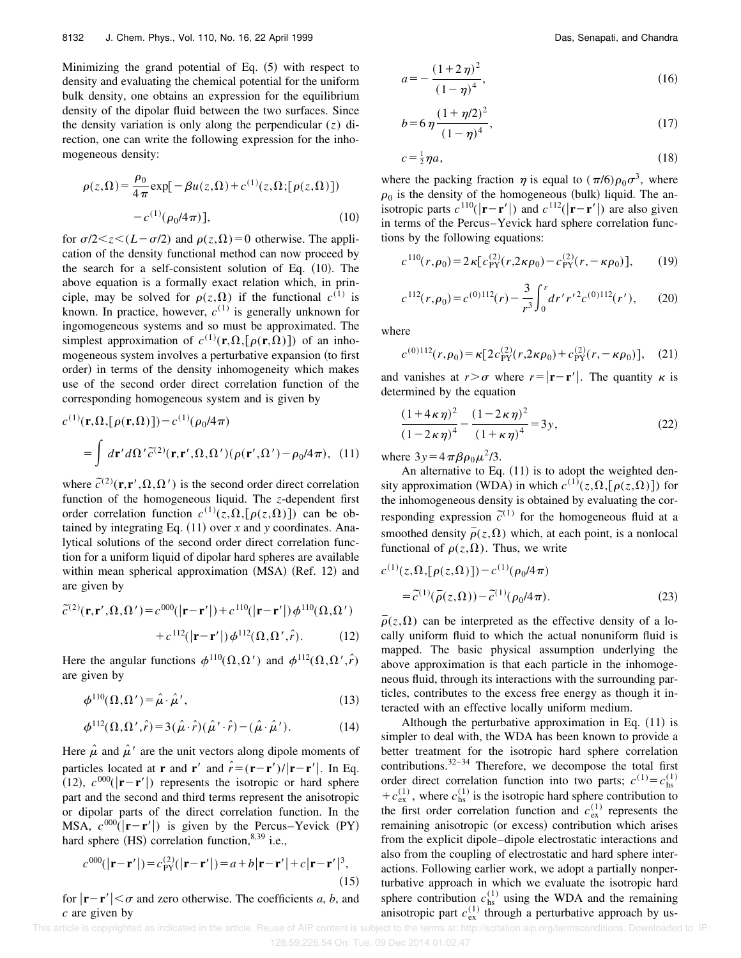Minimizing the grand potential of Eq.  $(5)$  with respect to density and evaluating the chemical potential for the uniform bulk density, one obtains an expression for the equilibrium density of the dipolar fluid between the two surfaces. Since the density variation is only along the perpendicular (*z*) direction, one can write the following expression for the inhomogeneous density:

$$
\rho(z,\Omega) = \frac{\rho_0}{4\pi} \exp[-\beta u(z,\Omega) + c^{(1)}(z,\Omega;[\rho(z,\Omega)])
$$

$$
-c^{(1)}(\rho_0/4\pi)],
$$
(10)

for  $\sigma/2 < z < (L - \sigma/2)$  and  $\rho(z,\Omega) = 0$  otherwise. The application of the density functional method can now proceed by the search for a self-consistent solution of Eq.  $(10)$ . The above equation is a formally exact relation which, in principle, may be solved for  $\rho(z,\Omega)$  if the functional  $c^{(1)}$  is known. In practice, however,  $c^{(1)}$  is generally unknown for ingomogeneous systems and so must be approximated. The simplest approximation of  $c^{(1)}(\mathbf{r},\Omega,[\rho(\mathbf{r},\Omega)])$  of an inhomogeneous system involves a perturbative expansion (to first order) in terms of the density inhomogeneity which makes use of the second order direct correlation function of the corresponding homogeneous system and is given by

$$
c^{(1)}(\mathbf{r}, \Omega, [\rho(\mathbf{r}, \Omega)]) - c^{(1)}(\rho_0/4\pi)
$$
  
= 
$$
\int d\mathbf{r}' d\Omega' \tilde{c}^{(2)}(\mathbf{r}, \mathbf{r}', \Omega, \Omega') (\rho(\mathbf{r}', \Omega') - \rho_0/4\pi), \quad (11)
$$

where  $\tilde{c}^{(2)}(\mathbf{r}, \mathbf{r}', \Omega, \Omega')$  is the second order direct correlation function of the homogeneous liquid. The *z*-dependent first order correlation function  $c^{(1)}(z,\Omega,[\rho(z,\Omega)])$  can be obtained by integrating Eq.  $(11)$  over *x* and *y* coordinates. Analytical solutions of the second order direct correlation function for a uniform liquid of dipolar hard spheres are available within mean spherical approximation  $(MSA)$  (Ref. 12) and are given by

$$
\tilde{c}^{(2)}(\mathbf{r}, \mathbf{r}', \Omega, \Omega') = c^{000}(|\mathbf{r} - \mathbf{r}'|) + c^{110}(|\mathbf{r} - \mathbf{r}'|) \phi^{110}(\Omega, \Omega')
$$

$$
+ c^{112}(|\mathbf{r} - \mathbf{r}'|) \phi^{112}(\Omega, \Omega', \hat{r}). \tag{12}
$$

Here the angular functions  $\phi^{110}(\Omega,\Omega')$  and  $\phi^{112}(\Omega,\Omega',\hat{r})$ are given by

$$
\phi^{110}(\Omega,\Omega') = \hat{\mu} \cdot \hat{\mu}',\tag{13}
$$

$$
\phi^{112}(\Omega,\Omega',\hat{r}) = 3(\hat{\mu}\cdot\hat{r})(\hat{\mu}'\cdot\hat{r}) - (\hat{\mu}\cdot\hat{\mu}'). \tag{14}
$$

Here  $\hat{\mu}$  and  $\hat{\mu}'$  are the unit vectors along dipole moments of particles located at **r** and **r**<sup> $\hat{r} = (\mathbf{r} - \mathbf{r}')/|\mathbf{r} - \mathbf{r}'|$ . In Eq.</sup>  $(12)$ ,  $c^{000}$ ( $|\mathbf{r}-\mathbf{r}'|$ ) represents the isotropic or hard sphere part and the second and third terms represent the anisotropic or dipolar parts of the direct correlation function. In the MSA,  $c^{000}$ ( $|\mathbf{r}-\mathbf{r}'|$ ) is given by the Percus–Yevick (PY) hard sphere  $(HS)$  correlation function,  $8,39$  i.e.,

$$
c^{000}(|\mathbf{r}-\mathbf{r}'|) = c_{\text{PY}}^{(2)}(|\mathbf{r}-\mathbf{r}'|) = a + b|\mathbf{r}-\mathbf{r}'| + c|\mathbf{r}-\mathbf{r}'|^3,
$$
\n(15)

for  $|\mathbf{r}-\mathbf{r}'| < \sigma$  and zero otherwise. The coefficients *a*, *b*, and *c* are given by

$$
a = -\frac{(1+2\,\eta)^2}{(1-\eta)^4},\tag{16}
$$

$$
b = 6\,\eta \frac{(1+\eta/2)^2}{(1-\eta)^4},\tag{17}
$$

$$
c = \frac{1}{2}\eta a,\tag{18}
$$

where the packing fraction  $\eta$  is equal to  $(\pi/6)\rho_0\sigma^3$ , where  $\rho_0$  is the density of the homogeneous (bulk) liquid. The anisotropic parts  $c^{110}(|\mathbf{r}-\mathbf{r}'|)$  and  $c^{112}(|\mathbf{r}-\mathbf{r}'|)$  are also given in terms of the Percus–Yevick hard sphere correlation functions by the following equations:

$$
c^{110}(r,\rho_0) = 2\kappa [c_{\text{PY}}^{(2)}(r,2\kappa \rho_0) - c_{\text{PY}}^{(2)}(r,-\kappa \rho_0)],\qquad(19)
$$

$$
c^{112}(r,\rho_0) = c^{(0)112}(r) - \frac{3}{r^3} \int_0^r dr' \, r'^2 c^{(0)112}(r'), \qquad (20)
$$

where

$$
c^{(0)112}(r,\rho_0) = \kappa [2c_{\text{PY}}^{(2)}(r,2\kappa \rho_0) + c_{\text{PY}}^{(2)}(r,-\kappa \rho_0)], \quad (21)
$$

and vanishes at  $r > \sigma$  where  $r = |\mathbf{r} - \mathbf{r}'|$ . The quantity  $\kappa$  is determined by the equation

$$
\frac{(1+4\kappa\eta)^2}{(1-2\kappa\eta)^4} - \frac{(1-2\kappa\eta)^2}{(1+\kappa\eta)^4} = 3y,\tag{22}
$$

where  $3y=4\pi\beta\rho_0\mu^2/3$ .

An alternative to Eq.  $(11)$  is to adopt the weighted density approximation (WDA) in which  $c^{(1)}(z,\Omega,[\rho(z,\Omega)])$  for the inhomogeneous density is obtained by evaluating the corresponding expression  $\tilde{c}^{(1)}$  for the homogeneous fluid at a smoothed density  $\overline{\rho}(z,\Omega)$  which, at each point, is a nonlocal functional of  $\rho(z,\Omega)$ . Thus, we write

$$
c^{(1)}(z,\Omega,[\rho(z,\Omega)]) - c^{(1)}(\rho_0/4\pi)
$$
  
=  $\tilde{c}^{(1)}(\bar{\rho}(z,\Omega)) - \tilde{c}^{(1)}(\rho_0/4\pi).$  (23)

 $\overline{\rho}(z,\Omega)$  can be interpreted as the effective density of a locally uniform fluid to which the actual nonuniform fluid is mapped. The basic physical assumption underlying the above approximation is that each particle in the inhomogeneous fluid, through its interactions with the surrounding particles, contributes to the excess free energy as though it interacted with an effective locally uniform medium.

Although the perturbative approximation in Eq.  $(11)$  is simpler to deal with, the WDA has been known to provide a better treatment for the isotropic hard sphere correlation contributions. $32-34$  Therefore, we decompose the total first order direct correlation function into two parts;  $c^{(1)} = c_{\text{hs}}^{(1)}$ +  $c_{\text{ex}}^{(1)}$ , where  $c_{\text{hs}}^{(1)}$  is the isotropic hard sphere contribution to the first order correlation function and  $c_{\text{ex}}^{(1)}$  represents the remaining anisotropic (or excess) contribution which arises from the explicit dipole–dipole electrostatic interactions and also from the coupling of electrostatic and hard sphere interactions. Following earlier work, we adopt a partially nonperturbative approach in which we evaluate the isotropic hard sphere contribution  $c_{\rm hs}^{(1)}$  using the WDA and the remaining anisotropic part  $c_{ex}^{(1)}$  through a perturbative approach by us-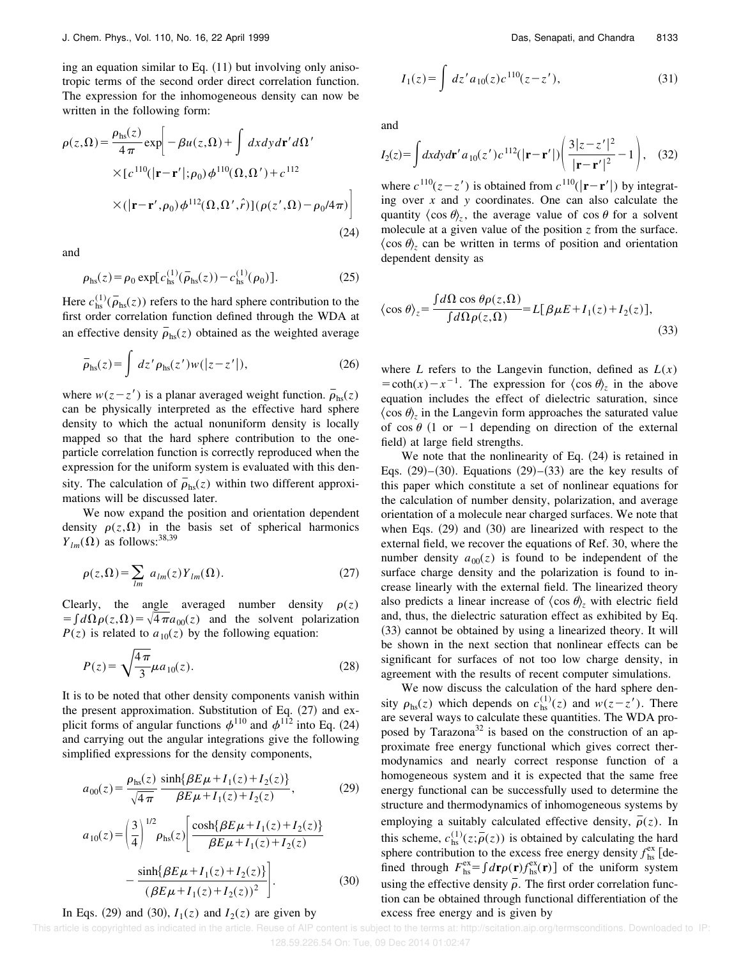ing an equation similar to Eq.  $(11)$  but involving only anisotropic terms of the second order direct correlation function. The expression for the inhomogeneous density can now be written in the following form:

$$
\rho(z,\Omega) = \frac{\rho_{\rm hs}(z)}{4\pi} \exp\left[-\beta u(z,\Omega) + \int dx dy d\mathbf{r}' d\Omega' \times [c^{110}(|\mathbf{r} - \mathbf{r}'|; \rho_0) \phi^{110}(\Omega, \Omega') + c^{112} \times (|\mathbf{r} - \mathbf{r}', \rho_0) \phi^{112}(\Omega, \Omega', \hat{r})] (\rho(z', \Omega) - \rho_0/4\pi) \right]
$$
\n(24)

and

$$
\rho_{\rm hs}(z) = \rho_0 \exp[c_{\rm hs}^{(1)}(\bar{\rho}_{\rm hs}(z)) - c_{\rm hs}^{(1)}(\rho_0)]. \tag{25}
$$

Here  $c_{\rm hs}^{(1)}(\overline{\rho}_{\rm hs}(z))$  refers to the hard sphere contribution to the first order correlation function defined through the WDA at an effective density  $\rho_{\text{hs}}(z)$  obtained as the weighted average

$$
\overline{\rho}_{\rm hs}(z) = \int dz' \rho_{\rm hs}(z') w(|z - z'|), \qquad (26)
$$

where  $w(z-z')$  is a planar averaged weight function.  $\rho_{\text{hs}}(z)$ can be physically interpreted as the effective hard sphere density to which the actual nonuniform density is locally mapped so that the hard sphere contribution to the oneparticle correlation function is correctly reproduced when the expression for the uniform system is evaluated with this density. The calculation of  $\overline{\rho}_{hs}(z)$  within two different approximations will be discussed later.

We now expand the position and orientation dependent density  $\rho(z,\Omega)$  in the basis set of spherical harmonics  $Y_{lm}(\Omega)$  as follows:<sup>38,39</sup>

$$
\rho(z,\Omega) = \sum_{lm} a_{lm}(z) Y_{lm}(\Omega). \tag{27}
$$

Clearly, the angle averaged number density  $\rho(z)$  $= \int d\Omega \rho(z,\Omega) = \sqrt{4 \pi a_{00}(z)}$  and the solvent polarization  $P(z)$  is related to  $a_{10}(z)$  by the following equation:

$$
P(z) = \sqrt{\frac{4\pi}{3}}\mu a_{10}(z). \tag{28}
$$

It is to be noted that other density components vanish within the present approximation. Substitution of Eq.  $(27)$  and explicit forms of angular functions  $\phi^{110}$  and  $\phi^{112}$  into Eq. (24) and carrying out the angular integrations give the following simplified expressions for the density components,

$$
a_{00}(z) = \frac{\rho_{\rm hs}(z)}{\sqrt{4\pi}} \frac{\sinh\{\beta E\mu + I_1(z) + I_2(z)\}}{\beta E\mu + I_1(z) + I_2(z)},\tag{29}
$$

$$
a_{10}(z) = \left(\frac{3}{4}\right)^{1/2} \rho_{\text{hs}}(z) \left[\frac{\cosh\{\beta E\mu + I_1(z) + I_2(z)\}}{\beta E\mu + I_1(z) + I_2(z)} - \frac{\sinh\{\beta E\mu + I_1(z) + I_2(z)\}}{(\beta E\mu + I_1(z) + I_2(z))^2}\right].
$$
 (30)

### In Eqs. (29) and (30),  $I_1(z)$  and  $I_2(z)$  are given by

$$
I_1(z) = \int dz' a_{10}(z) c^{110}(z - z'), \tag{31}
$$

and

$$
I_2(z) = \int dx dy dr' a_{10}(z') c^{112} (|\mathbf{r} - \mathbf{r}'|) \left( \frac{3|z - z'|^2}{|\mathbf{r} - \mathbf{r}'|^2} - 1 \right), \quad (32)
$$

where  $c^{110}(z-z')$  is obtained from  $c^{110}(|\mathbf{r}-\mathbf{r}'|)$  by integrating over *x* and *y* coordinates. One can also calculate the quantity  $\langle \cos \theta \rangle_z$ , the average value of  $\cos \theta$  for a solvent molecule at a given value of the position *z* from the surface.  $\langle \cos \theta \rangle$ <sub>z</sub> can be written in terms of position and orientation dependent density as

$$
\langle \cos \theta \rangle_z = \frac{\int d\Omega \cos \theta \rho(z, \Omega)}{\int d\Omega \rho(z, \Omega)} = L[\beta \mu E + I_1(z) + I_2(z)],\tag{33}
$$

where *L* refers to the Langevin function, defined as  $L(x)$ = coth(x) – x<sup>-1</sup>. The expression for  $\langle \cos \theta \rangle$ <sub>z</sub> in the above equation includes the effect of dielectric saturation, since  $\langle \cos \theta \rangle$ <sub>z</sub> in the Langevin form approaches the saturated value of cos  $\theta$  (1 or -1 depending on direction of the external field) at large field strengths.

We note that the nonlinearity of Eq.  $(24)$  is retained in Eqs.  $(29)$ – $(30)$ . Equations  $(29)$ – $(33)$  are the key results of this paper which constitute a set of nonlinear equations for the calculation of number density, polarization, and average orientation of a molecule near charged surfaces. We note that when Eqs.  $(29)$  and  $(30)$  are linearized with respect to the external field, we recover the equations of Ref. 30, where the number density  $a_{00}(z)$  is found to be independent of the surface charge density and the polarization is found to increase linearly with the external field. The linearized theory also predicts a linear increase of  $\langle \cos \theta \rangle$ <sub>z</sub> with electric field and, thus, the dielectric saturation effect as exhibited by Eq.  $(33)$  cannot be obtained by using a linearized theory. It will be shown in the next section that nonlinear effects can be significant for surfaces of not too low charge density, in agreement with the results of recent computer simulations.

We now discuss the calculation of the hard sphere density  $\rho_{\text{hs}}(z)$  which depends on  $c_{\text{hs}}^{(1)}(z)$  and  $w(z-z')$ . There are several ways to calculate these quantities. The WDA proposed by Tarazona<sup>32</sup> is based on the construction of an approximate free energy functional which gives correct thermodynamics and nearly correct response function of a homogeneous system and it is expected that the same free energy functional can be successfully used to determine the structure and thermodynamics of inhomogeneous systems by employing a suitably calculated effective density,  $\overline{\rho}(z)$ . In this scheme,  $c_{\text{hs}}^{(1)}(z;\overline{\rho}(z))$  is obtained by calculating the hard sphere contribution to the excess free energy density  $f_{\text{hs}}^{\text{ex}}$  [defined through  $F_{\text{hs}}^{\text{ex}} = \int d\mathbf{r} \rho(\mathbf{r}) f_{\text{hs}}^{\text{ex}}(\mathbf{r})$  of the uniform system using the effective density  $\overline{\rho}$ . The first order correlation function can be obtained through functional differentiation of the excess free energy and is given by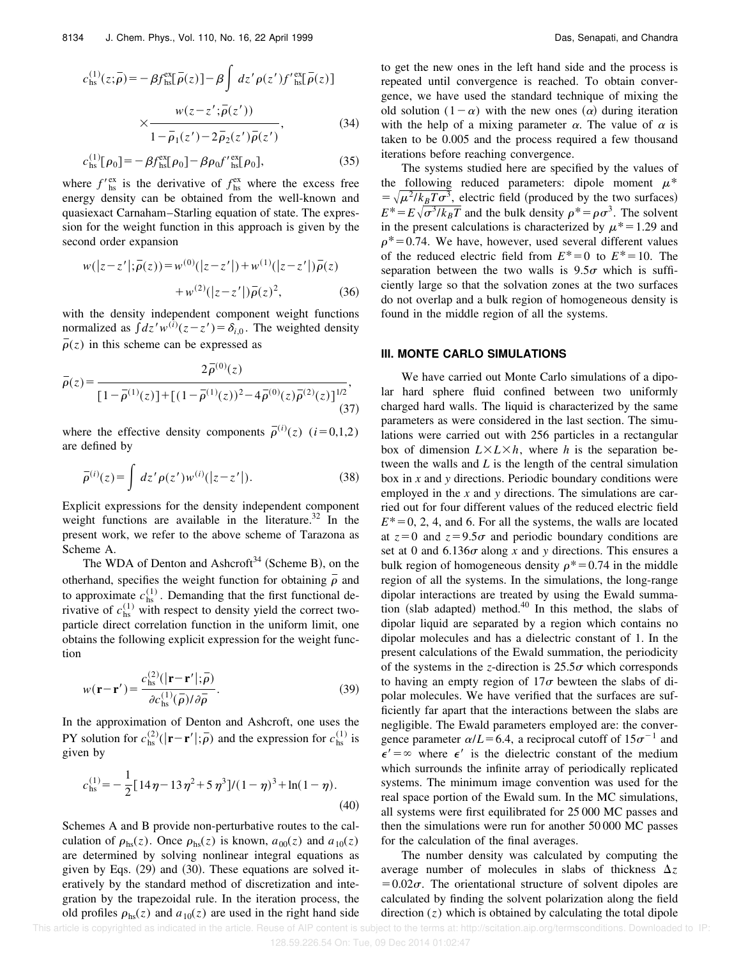$$
c_{\rm hs}^{(1)}(z;\overline{\rho}) = -\beta f_{\rm hs}^{\rm ex}[\overline{\rho}(z)] - \beta \int dz' \rho(z') f'_{\rm hs}^{\rm ex}[\overline{\rho}(z)]
$$
  

$$
\times \frac{w(z-z';\overline{\rho}(z'))}{1-\overline{\rho}_1(z')-2\overline{\rho}_2(z')\overline{\rho}(z')},
$$
(34)

$$
c_{\rm hs}^{(1)}[\rho_0] = -\beta f_{\rm hs}^{\rm ex}[\rho_0] - \beta \rho_0 f_{\rm hs}^{\prime \rm ex}[\rho_0],\tag{35}
$$

where  $f'_{\text{hs}}^{\text{ex}}$  is the derivative of  $f_{\text{hs}}^{\text{ex}}$  where the excess free energy density can be obtained from the well-known and quasiexact Carnaham–Starling equation of state. The expression for the weight function in this approach is given by the second order expansion

$$
w(|z-z'|; \overline{\rho}(z)) = w^{(0)}(|z-z'|) + w^{(1)}(|z-z'|)\overline{\rho}(z) + w^{(2)}(|z-z'|)\overline{\rho}(z)^2,
$$
 (36)

with the density independent component weight functions normalized as  $\int dz' w^{(\hat{i})}(z-z') = \delta_{i,0}$ . The weighted density  $\overline{\rho}(z)$  in this scheme can be expressed as

$$
\bar{\rho}(z) = \frac{2\bar{\rho}^{(0)}(z)}{\left[1 - \bar{\rho}^{(1)}(z)\right] + \left[(1 - \bar{\rho}^{(1)}(z))^2 - 4\bar{\rho}^{(0)}(z)\bar{\rho}^{(2)}(z)\right]^{1/2}},\tag{37}
$$

where the effective density components  $\overline{\rho}^{(i)}(z)$  (*i*=0,1,2) are defined by

$$
\bar{\rho}^{(i)}(z) = \int dz' \rho(z') w^{(i)}(|z - z'|).
$$
 (38)

Explicit expressions for the density independent component weight functions are available in the literature.<sup>32</sup> In the present work, we refer to the above scheme of Tarazona as Scheme A.

The WDA of Denton and Ashcroft<sup>34</sup> (Scheme B), on the otherhand, specifies the weight function for obtaining  $\overline{\rho}$  and to approximate  $c_{\text{hs}}^{(1)}$ . Demanding that the first functional derivative of  $c_{\rm hs}^{(1)}$  with respect to density yield the correct twoparticle direct correlation function in the uniform limit, one obtains the following explicit expression for the weight function

$$
w(\mathbf{r} - \mathbf{r}') = \frac{c_{\rm hs}^{(2)}(|\mathbf{r} - \mathbf{r}'|; \overline{\rho})}{\partial c_{\rm hs}^{(1)}(\overline{\rho})/\partial \overline{\rho}}.
$$
 (39)

In the approximation of Denton and Ashcroft, one uses the PY solution for  $c_{\text{hs}}^{(2)}(|\mathbf{r}-\mathbf{r}'|; \overline{\rho})$  and the expression for  $c_{\text{hs}}^{(1)}$  is given by

$$
c_{\rm hs}^{(1)} = -\frac{1}{2} [14\eta - 13\eta^2 + 5\eta^3]/(1 - \eta)^3 + \ln(1 - \eta).
$$
\n(40)

Schemes A and B provide non-perturbative routes to the calculation of  $\rho_{\text{hs}}(z)$ . Once  $\rho_{\text{hs}}(z)$  is known,  $a_{00}(z)$  and  $a_{10}(z)$ are determined by solving nonlinear integral equations as given by Eqs.  $(29)$  and  $(30)$ . These equations are solved iteratively by the standard method of discretization and integration by the trapezoidal rule. In the iteration process, the old profiles  $\rho_{\text{hs}}(z)$  and  $a_{10}(z)$  are used in the right hand side to get the new ones in the left hand side and the process is repeated until convergence is reached. To obtain convergence, we have used the standard technique of mixing the old solution  $(1-\alpha)$  with the new ones  $(\alpha)$  during iteration with the help of a mixing parameter  $\alpha$ . The value of  $\alpha$  is taken to be 0.005 and the process required a few thousand iterations before reaching convergence.

The systems studied here are specified by the values of the following reduced parameters: dipole moment  $\mu^*$  $=\sqrt{\mu^2/k_B T \sigma^3}$ , electric field (produced by the two surfaces)  $E^* = E \sqrt{\sigma^3 / k_B T}$  and the bulk density  $\rho^* = \rho \sigma^3$ . The solvent in the present calculations is characterized by  $\mu^*$  = 1.29 and  $\rho^*$ =0.74. We have, however, used several different values of the reduced electric field from  $E^*=0$  to  $E^*=10$ . The separation between the two walls is  $9.5\sigma$  which is sufficiently large so that the solvation zones at the two surfaces do not overlap and a bulk region of homogeneous density is found in the middle region of all the systems.

### **III. MONTE CARLO SIMULATIONS**

We have carried out Monte Carlo simulations of a dipolar hard sphere fluid confined between two uniformly charged hard walls. The liquid is characterized by the same parameters as were considered in the last section. The simulations were carried out with 256 particles in a rectangular box of dimension  $L \times L \times h$ , where *h* is the separation between the walls and *L* is the length of the central simulation box in *x* and *y* directions. Periodic boundary conditions were employed in the *x* and *y* directions. The simulations are carried out for four different values of the reduced electric field  $E^*$  = 0, 2, 4, and 6. For all the systems, the walls are located at  $z=0$  and  $z=9.5\sigma$  and periodic boundary conditions are set at 0 and  $6.136\sigma$  along *x* and *y* directions. This ensures a bulk region of homogeneous density  $\rho^*=0.74$  in the middle region of all the systems. In the simulations, the long-range dipolar interactions are treated by using the Ewald summation (slab adapted) method.<sup>40</sup> In this method, the slabs of dipolar liquid are separated by a region which contains no dipolar molecules and has a dielectric constant of 1. In the present calculations of the Ewald summation, the periodicity of the systems in the *z*-direction is  $25.5\sigma$  which corresponds to having an empty region of  $17\sigma$  bewteen the slabs of dipolar molecules. We have verified that the surfaces are sufficiently far apart that the interactions between the slabs are negligible. The Ewald parameters employed are: the convergence parameter  $\alpha/L = 6.4$ , a reciprocal cutoff of  $15\sigma^{-1}$  and  $\epsilon' = \infty$  where  $\epsilon'$  is the dielectric constant of the medium which surrounds the infinite array of periodically replicated systems. The minimum image convention was used for the real space portion of the Ewald sum. In the MC simulations, all systems were first equilibrated for 25 000 MC passes and then the simulations were run for another 50 000 MC passes for the calculation of the final averages.

The number density was calculated by computing the average number of molecules in slabs of thickness  $\Delta z$  $=0.02\sigma$ . The orientational structure of solvent dipoles are calculated by finding the solvent polarization along the field direction (*z*) which is obtained by calculating the total dipole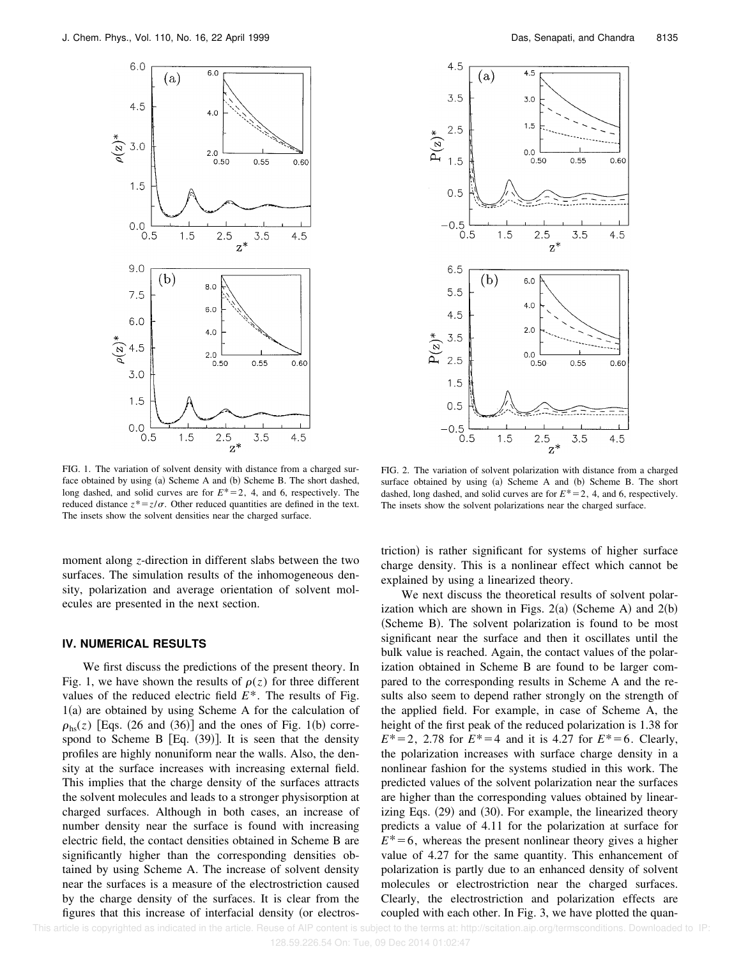

FIG. 1. The variation of solvent density with distance from a charged surface obtained by using (a) Scheme A and (b) Scheme B. The short dashed, long dashed, and solid curves are for  $E^*=2$ , 4, and 6, respectively. The reduced distance  $z^* = z/\sigma$ . Other reduced quantities are defined in the text. The insets show the solvent densities near the charged surface.

moment along *z*-direction in different slabs between the two surfaces. The simulation results of the inhomogeneous density, polarization and average orientation of solvent molecules are presented in the next section.

### **IV. NUMERICAL RESULTS**

We first discuss the predictions of the present theory. In Fig. 1, we have shown the results of  $\rho(z)$  for three different values of the reduced electric field *E*\*. The results of Fig.  $1(a)$  are obtained by using Scheme A for the calculation of  $\rho_{\text{hs}}(z)$  [Eqs. (26 and (36)] and the ones of Fig. 1(b) correspond to Scheme B  $[Eq. (39)]$ . It is seen that the density profiles are highly nonuniform near the walls. Also, the density at the surface increases with increasing external field. This implies that the charge density of the surfaces attracts the solvent molecules and leads to a stronger physisorption at charged surfaces. Although in both cases, an increase of number density near the surface is found with increasing electric field, the contact densities obtained in Scheme B are significantly higher than the corresponding densities obtained by using Scheme A. The increase of solvent density near the surfaces is a measure of the electrostriction caused by the charge density of the surfaces. It is clear from the figures that this increase of interfacial density (or electros-



FIG. 2. The variation of solvent polarization with distance from a charged surface obtained by using (a) Scheme A and (b) Scheme B. The short dashed, long dashed, and solid curves are for  $E^*=2$ , 4, and 6, respectively. The insets show the solvent polarizations near the charged surface.

triction) is rather significant for systems of higher surface charge density. This is a nonlinear effect which cannot be explained by using a linearized theory.

We next discuss the theoretical results of solvent polarization which are shown in Figs.  $2(a)$  (Scheme A) and  $2(b)$ (Scheme B). The solvent polarization is found to be most significant near the surface and then it oscillates until the bulk value is reached. Again, the contact values of the polarization obtained in Scheme B are found to be larger compared to the corresponding results in Scheme A and the results also seem to depend rather strongly on the strength of the applied field. For example, in case of Scheme A, the height of the first peak of the reduced polarization is 1.38 for  $E^* = 2$ , 2.78 for  $E^* = 4$  and it is 4.27 for  $E^* = 6$ . Clearly, the polarization increases with surface charge density in a nonlinear fashion for the systems studied in this work. The predicted values of the solvent polarization near the surfaces are higher than the corresponding values obtained by linearizing Eqs.  $(29)$  and  $(30)$ . For example, the linearized theory predicts a value of 4.11 for the polarization at surface for  $E^*$ =6, whereas the present nonlinear theory gives a higher value of 4.27 for the same quantity. This enhancement of polarization is partly due to an enhanced density of solvent molecules or electrostriction near the charged surfaces. Clearly, the electrostriction and polarization effects are coupled with each other. In Fig. 3, we have plotted the quan-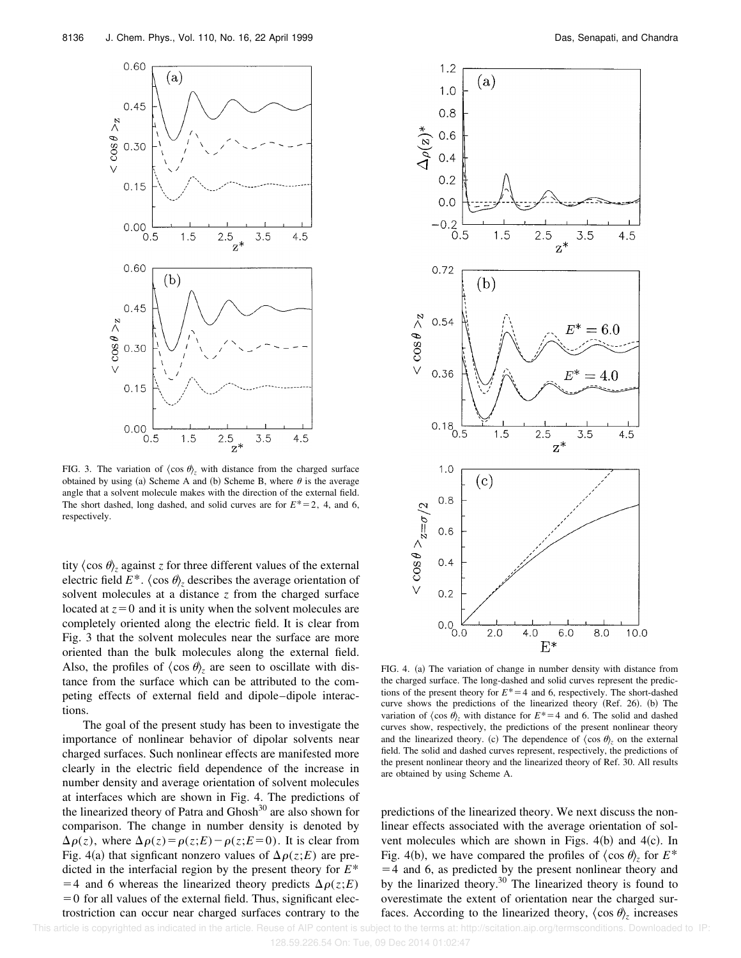

FIG. 3. The variation of  $\langle \cos \theta \rangle$ <sub>z</sub> with distance from the charged surface obtained by using (a) Scheme A and (b) Scheme B, where  $\theta$  is the average angle that a solvent molecule makes with the direction of the external field. The short dashed, long dashed, and solid curves are for  $E^* = 2$ , 4, and 6, respectively.

tity  $\langle \cos \theta \rangle$ <sub>z</sub> against *z* for three different values of the external electric field  $E^*$ .  $\langle \cos \theta \rangle$ <sub>z</sub> describes the average orientation of solvent molecules at a distance *z* from the charged surface located at  $z=0$  and it is unity when the solvent molecules are completely oriented along the electric field. It is clear from Fig. 3 that the solvent molecules near the surface are more oriented than the bulk molecules along the external field. Also, the profiles of  $\langle \cos \theta \rangle$ <sub>z</sub> are seen to oscillate with distance from the surface which can be attributed to the competing effects of external field and dipole–dipole interactions.

The goal of the present study has been to investigate the importance of nonlinear behavior of dipolar solvents near charged surfaces. Such nonlinear effects are manifested more clearly in the electric field dependence of the increase in number density and average orientation of solvent molecules at interfaces which are shown in Fig. 4. The predictions of the linearized theory of Patra and  $Ghosh<sup>30</sup>$  are also shown for comparison. The change in number density is denoted by  $\Delta \rho(z)$ , where  $\Delta \rho(z) = \rho(z;E) - \rho(z;E=0)$ . It is clear from Fig. 4(a) that signficant nonzero values of  $\Delta \rho(z;E)$  are predicted in the interfacial region by the present theory for *E*\* =4 and 6 whereas the linearized theory predicts  $\Delta \rho(z;E)$  $=0$  for all values of the external field. Thus, significant electrostriction can occur near charged surfaces contrary to the



FIG. 4. (a) The variation of change in number density with distance from the charged surface. The long-dashed and solid curves represent the predictions of the present theory for  $E^*=4$  and 6, respectively. The short-dashed curve shows the predictions of the linearized theory  $(Ref. 26)$ .  $(b)$  The variation of  $\langle \cos \theta \rangle$ <sub>z</sub> with distance for  $E^* = 4$  and 6. The solid and dashed curves show, respectively, the predictions of the present nonlinear theory and the linearized theory. (c) The dependence of  $\langle \cos \theta \rangle$ <sub>z</sub> on the external field. The solid and dashed curves represent, respectively, the predictions of the present nonlinear theory and the linearized theory of Ref. 30. All results are obtained by using Scheme A.

predictions of the linearized theory. We next discuss the nonlinear effects associated with the average orientation of solvent molecules which are shown in Figs.  $4(b)$  and  $4(c)$ . In Fig. 4(b), we have compared the profiles of  $\langle \cos \theta \rangle$ <sub>z</sub> for  $E^*$  $=$  4 and 6, as predicted by the present nonlinear theory and by the linarized theory. $30$  The linearized theory is found to overestimate the extent of orientation near the charged surfaces. According to the linearized theory,  $\langle \cos \theta \rangle$ <sub>z</sub> increases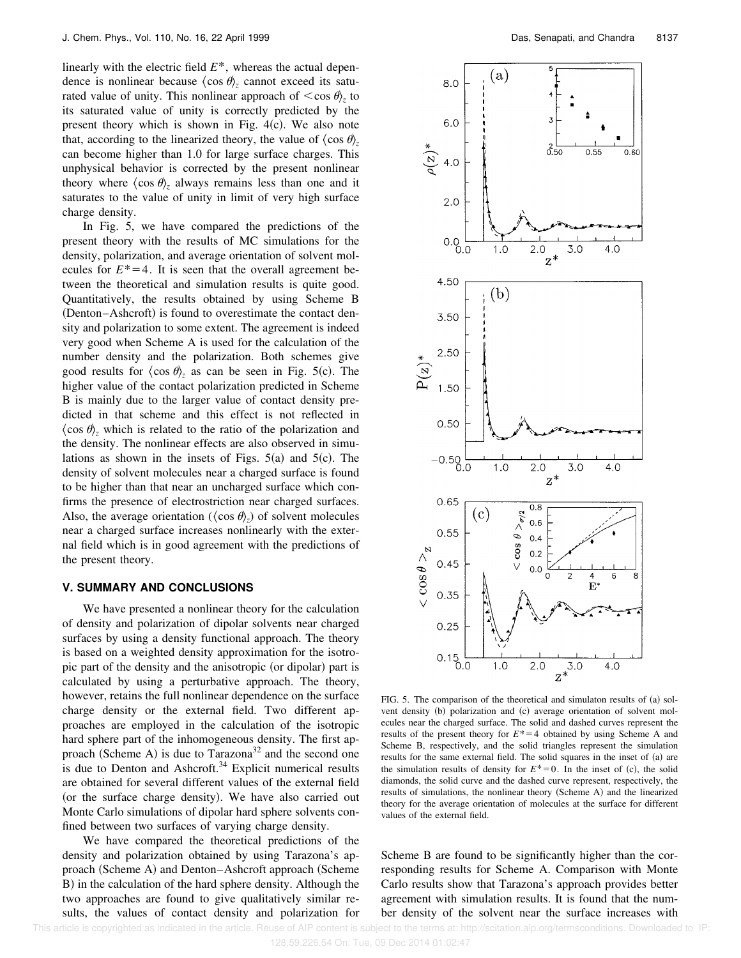linearly with the electric field *E*\*, whereas the actual dependence is nonlinear because  $\langle \cos \theta \rangle$ <sub>z</sub> cannot exceed its saturated value of unity. This nonlinear approach of  $\langle \cos \theta \rangle$ <sub>z</sub> to its saturated value of unity is correctly predicted by the present theory which is shown in Fig.  $4(c)$ . We also note that, according to the linearized theory, the value of  $\langle \cos \theta \rangle$ can become higher than 1.0 for large surface charges. This unphysical behavior is corrected by the present nonlinear theory where  $\langle \cos \theta \rangle$ <sub>z</sub> always remains less than one and it saturates to the value of unity in limit of very high surface charge density.

In Fig. 5, we have compared the predictions of the present theory with the results of MC simulations for the density, polarization, and average orientation of solvent molecules for  $E^*=4$ . It is seen that the overall agreement between the theoretical and simulation results is quite good. Quantitatively, the results obtained by using Scheme B (Denton–Ashcroft) is found to overestimate the contact density and polarization to some extent. The agreement is indeed very good when Scheme A is used for the calculation of the number density and the polarization. Both schemes give good results for  $\langle \cos \theta \rangle$ <sub>z</sub> as can be seen in Fig. 5(c). The higher value of the contact polarization predicted in Scheme B is mainly due to the larger value of contact density predicted in that scheme and this effect is not reflected in  $\langle \cos \theta \rangle$ <sub>z</sub> which is related to the ratio of the polarization and the density. The nonlinear effects are also observed in simulations as shown in the insets of Figs.  $5(a)$  and  $5(c)$ . The density of solvent molecules near a charged surface is found to be higher than that near an uncharged surface which confirms the presence of electrostriction near charged surfaces. Also, the average orientation ( $\langle \cos \theta \rangle_z$ ) of solvent molecules near a charged surface increases nonlinearly with the external field which is in good agreement with the predictions of the present theory.

#### **V. SUMMARY AND CONCLUSIONS**

We have presented a nonlinear theory for the calculation of density and polarization of dipolar solvents near charged surfaces by using a density functional approach. The theory is based on a weighted density approximation for the isotropic part of the density and the anisotropic (or dipolar) part is calculated by using a perturbative approach. The theory, however, retains the full nonlinear dependence on the surface charge density or the external field. Two different approaches are employed in the calculation of the isotropic hard sphere part of the inhomogeneous density. The first approach (Scheme A) is due to  $Tarazona<sup>32</sup>$  and the second one is due to Denton and Ashcroft. $34$  Explicit numerical results are obtained for several different values of the external field (or the surface charge density). We have also carried out Monte Carlo simulations of dipolar hard sphere solvents confined between two surfaces of varying charge density.

We have compared the theoretical predictions of the density and polarization obtained by using Tarazona's approach (Scheme A) and Denton–Ashcroft approach (Scheme B) in the calculation of the hard sphere density. Although the two approaches are found to give qualitatively similar results, the values of contact density and polarization for



FIG. 5. The comparison of the theoretical and simulaton results of  $(a)$  solvent density (b) polarization and (c) average orientation of solvent molecules near the charged surface. The solid and dashed curves represent the results of the present theory for  $E^*=4$  obtained by using Scheme A and Scheme B, respectively, and the solid triangles represent the simulation results for the same external field. The solid squares in the inset of (a) are the simulation results of density for  $E^*=0$ . In the inset of (c), the solid diamonds, the solid curve and the dashed curve represent, respectively, the results of simulations, the nonlinear theory (Scheme A) and the linearized theory for the average orientation of molecules at the surface for different values of the external field.

Scheme B are found to be significantly higher than the corresponding results for Scheme A. Comparison with Monte Carlo results show that Tarazona's approach provides better agreement with simulation results. It is found that the number density of the solvent near the surface increases with